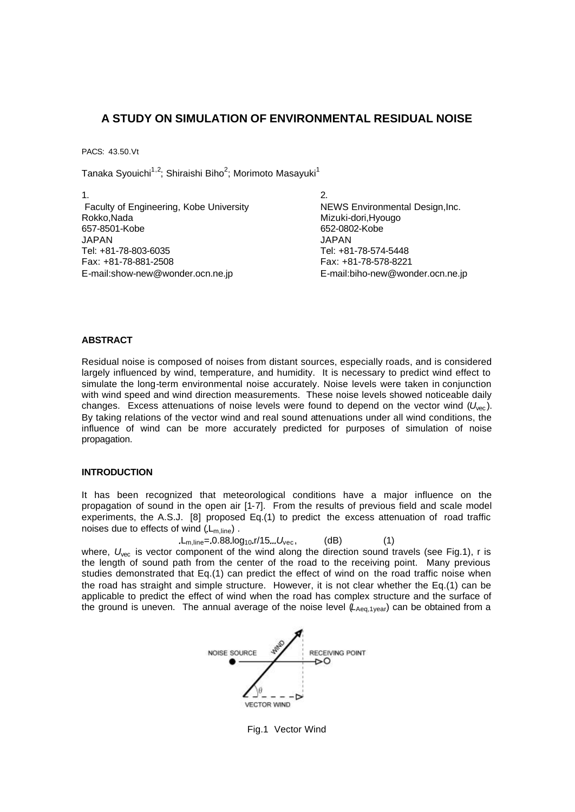# **A STUDY ON SIMULATION OF ENVIRONMENTAL RESIDUAL NOISE**

PACS: 43.50.Vt

Tanaka Syouichi $^{1,2}$ ; Shiraishi Biho $^2$ ; Morimoto Masayuki $^1$ 

 $1.$  2. Faculty of Engineering, Kobe University NEWS Environmental Design, Inc. Rokko,Nada Mizuki-dori,Hyougo JAPAN JAPAN Tel: +81-78-803-6035 Tel: +81-78-574-5448 Fax: +81-78-881-2508 Fax: +81-78-578-8221 E-mail:show-new@wonder.ocn.ne.jp E-mail:biho-new@wonder.ocn.ne.jp

652-0802-Kobe

# **ABSTRACT**

Residual noise is composed of noises from distant sources, especially roads, and is considered largely influenced by wind, temperature, and humidity. It is necessary to predict wind effect to simulate the long-term environmental noise accurately. Noise levels were taken in conjunction with wind speed and wind direction measurements. These noise levels showed noticeable daily changes. Excess attenuations of noise levels were found to depend on the vector wind ( $U_{\text{vec}}$ ). By taking relations of the vector wind and real sound attenuations under all wind conditions, the influence of wind can be more accurately predicted for purposes of simulation of noise propagation.

# **INTRODUCTION**

It has been recognized that meteorological conditions have a major influence on the propagation of sound in the open air [1-7]. From the results of previous field and scale model experiments, the A.S.J. [8] proposed Eq.(1) to predict the excess attenuation of road traffic noises due to effects of wind  $(L_{m,line})$ .

 $L_{\text{m-line}} = 0.88 \cdot \log_{10} r / 15... U_{\text{vec}}$  (dB) (1) where,  $U_{\text{vec}}$  is vector component of the wind along the direction sound travels (see Fig.1), r is the length of sound path from the center of the road to the receiving point. Many previous studies demonstrated that Eq.(1) can predict the effect of wind on the road traffic noise when the road has straight and simple structure. However, it is not clear whether the Eq.(1) can be applicable to predict the effect of wind when the road has complex structure and the surface of the ground is uneven. The annual average of the noise level (*L*<sub>Aeq,1year</sub>) can be obtained from a



Fig.1 Vector Wind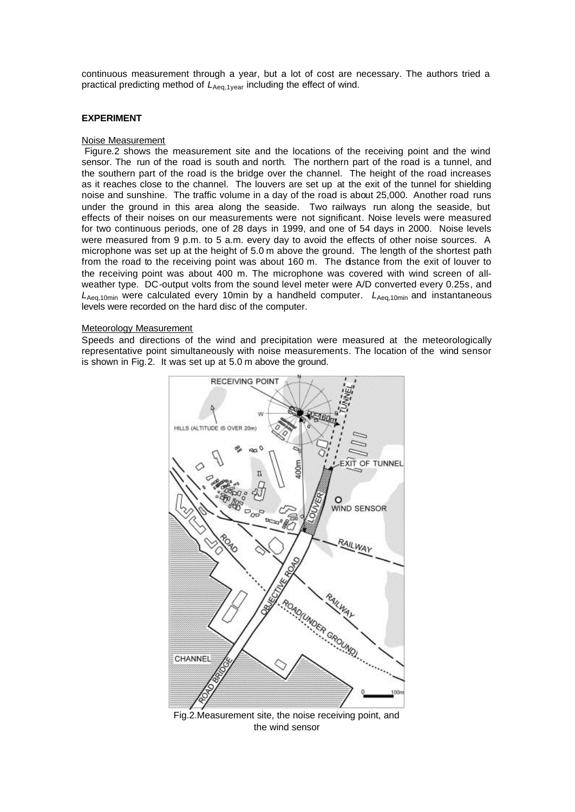continuous measurement through a year, but a lot of cost are necessary. The authors tried a practical predicting method of  $L_{Aeq,1year}$  including the effect of wind.

### **EXPERIMENT**

#### Noise Measurement

 Figure.2 shows the measurement site and the locations of the receiving point and the wind sensor. The run of the road is south and north. The northern part of the road is a tunnel, and the southern part of the road is the bridge over the channel. The height of the road increases as it reaches close to the channel. The louvers are set up at the exit of the tunnel for shielding noise and sunshine. The traffic volume in a day of the road is about 25,000. Another road runs under the ground in this area along the seaside. Two railways run along the seaside, but effects of their noises on our measurements were not significant. Noise levels were measured for two continuous periods, one of 28 days in 1999, and one of 54 days in 2000. Noise levels were measured from 9 p.m. to 5 a.m. every day to avoid the effects of other noise sources. A microphone was set up at the height of 5.0 m above the ground. The length of the shortest path from the road to the receiving point was about 160 m. The distance from the exit of louver to the receiving point was about 400 m. The microphone was covered with wind screen of allweather type. DC-output volts from the sound level meter were A/D converted every 0.25s, and *L*Aeq,10min were calculated every 10min by a handheld computer. *L*Aeq,10min and instantaneous levels were recorded on the hard disc of the computer.

#### Meteorology Measurement

Speeds and directions of the wind and precipitation were measured at the meteorologically representative point simultaneously with noise measurements. The location of the wind sensor is shown in Fig.2. It was set up at 5.0 m above the ground.



Fig.2.Measurement site, the noise receiving point, and the wind sensor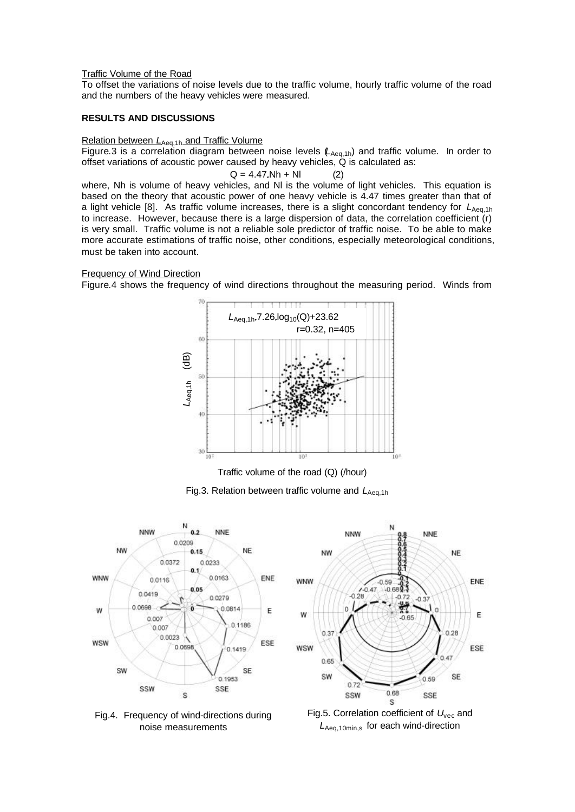### Traffic Volume of the Road

To offset the variations of noise levels due to the traffic volume, hourly traffic volume of the road and the numbers of the heavy vehicles were measured.

## **RESULTS AND DISCUSSIONS**

# Relation between *L*<sub>Aeq,1h</sub> and Traffic Volume

Figure.3 is a correlation diagram between noise levels ( $L_{Aeq,1h}$ ) and traffic volume. In order to offset variations of acoustic power caused by heavy vehicles, Q is calculated as:

$$
Q = 4.47 \text{.} \text{Nh} + \text{NI} \tag{2}
$$

where, Nh is volume of heavy vehicles, and Nl is the volume of light vehicles. This equation is based on the theory that acoustic power of one heavy vehicle is 4.47 times greater than that of a light vehicle [8]. As traffic volume increases, there is a slight concordant tendency for L<sub>Aeq,1h</sub> to increase. However, because there is a large dispersion of data, the correlation coefficient (r) is very small. Traffic volume is not a reliable sole predictor of traffic noise. To be able to make more accurate estimations of traffic noise, other conditions, especially meteorological conditions, must be taken into account.

## Frequency of Wind Direction

Figure.4 shows the frequency of wind directions throughout the measuring period. Winds from



Traffic volume of the road (Q) (/hour)

Fig.3. Relation between traffic volume and LAeq.1h





Fig.4. Frequency of wind-directions during noise measurements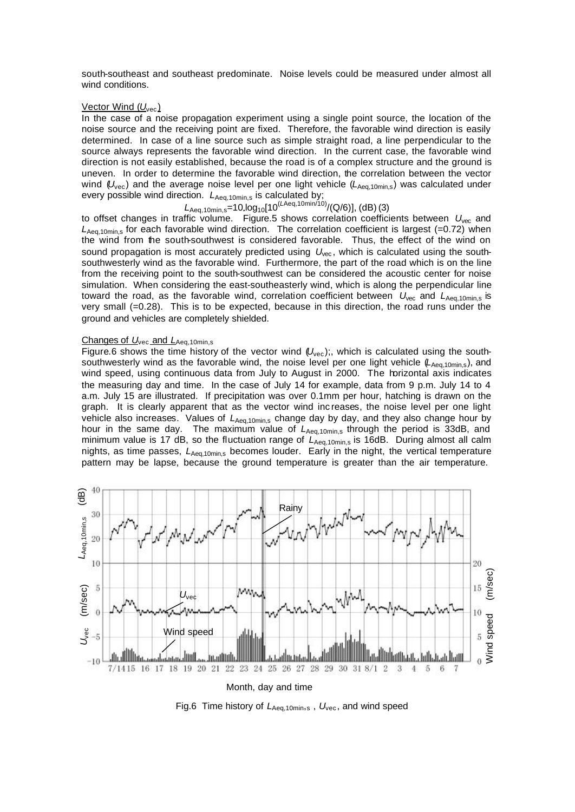south-southeast and southeast predominate. Noise levels could be measured under almost all wind conditions.

#### <u>Vector Wind (U<sub>vec</sub>)</u>

In the case of a noise propagation experiment using a single point source, the location of the noise source and the receiving point are fixed. Therefore, the favorable wind direction is easily determined. In case of a line source such as simple straight road, a line perpendicular to the source always represents the favorable wind direction. In the current case, the favorable wind direction is not easily established, because the road is of a complex structure and the ground is uneven. In order to determine the favorable wind direction, the correlation between the vector wind ( $U_{\text{vec}}$ ) and the average noise level per one light vehicle ( $L_{\text{Aea,10min,s}}$ ) was calculated under every possible wind direction.  $L_{Aeq,10min,s}$  is calculated by;

# *L*Aeq,10min,s=10 log10[10(*L*Aeq,10min/10)/(Q/6)], (dB)(3)

to offset changes in traffic volume. Figure.5 shows correlation coefficients between *U*vec and  $L_{\text{Aeq 10min}}$  for each favorable wind direction. The correlation coefficient is largest (=0.72) when the wind from the south-southwest is considered favorable. Thus, the effect of the wind on sound propagation is most accurately predicted using  $U_{\text{vec}}$ , which is calculated using the southsouthwesterly wind as the favorable wind. Furthermore, the part of the road which is on the line from the receiving point to the south-southwest can be considered the acoustic center for noise simulation. When considering the east-southeasterly wind, which is along the perpendicular line toward the road, as the favorable wind, correlation coefficient between  $U_{\text{vec}}$  and  $L_{\text{Aec.10min.s}}$  is very small (=0.28). This is to be expected, because in this direction, the road runs under the ground and vehicles are completely shielded.

## Changes of *U*<sub>vec</sub> and *L*<sub>Aeq,10min,s</sub>

Figure.6 shows the time history of the vector wind ( $U_{\text{vec}}$ );, which is calculated using the southsouthwesterly wind as the favorable wind, the noise level per one light vehicle (*L*Aeq,10min,s), and wind speed, using continuous data from July to August in 2000. The horizontal axis indicates the measuring day and time. In the case of July 14 for example, data from 9 p.m. July 14 to 4 a.m. July 15 are illustrated. If precipitation was over 0.1mm per hour, hatching is drawn on the graph. It is clearly apparent that as the vector wind inc reases, the noise level per one light vehicle also increases. Values of  $L_{Aeq,10min,s}$  change day by day, and they also change hour by hour in the same day. The maximum value of *L*<sub>Aeq,10min,s</sub> through the period is 33dB, and minimum value is 17 dB, so the fluctuation range of L<sub>Aeq,10min,s</sub> is 16dB. During almost all calm nights, as time passes,  $L_{\text{Aea.10min.s}}$  becomes louder. Early in the night, the vertical temperature pattern may be lapse, because the ground temperature is greater than the air temperature.



Fig.6 Time history of *L*<sub>Aeq,10min,s</sub>, *U*<sub>vec</sub>, and wind speed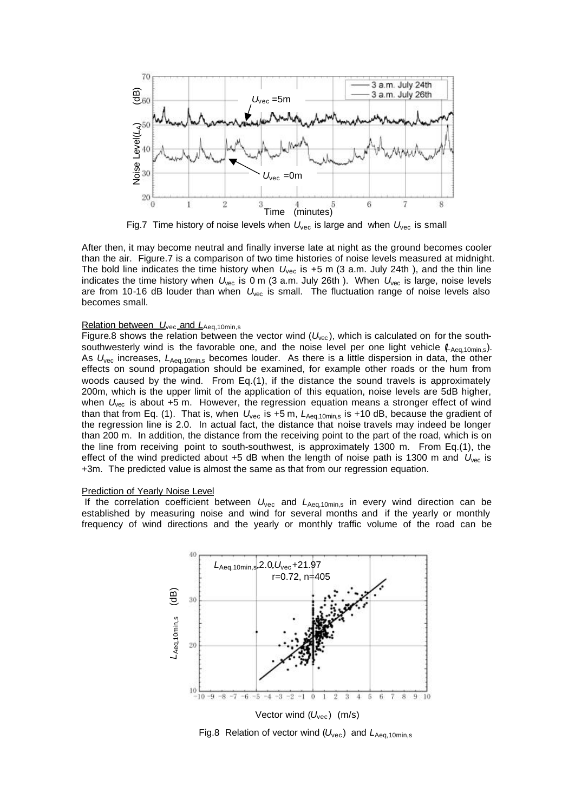

After then, it may become neutral and finally inverse late at night as the ground becomes cooler than the air. Figure.7 is a comparison of two time histories of noise levels measured at midnight. The bold line indicates the time history when  $U_{\text{vec}}$  is +5 m (3 a.m. July 24th), and the thin line indicates the time history when *U*vec is 0 m (3 a.m. July 26th ). When *U*vec is large, noise levels are from 10-16 dB louder than when  $U_{\text{vec}}$  is small. The fluctuation range of noise levels also becomes small.

# Relation between *U*<sub>vec</sub> and *L*<sub>Aeq,10min,s</sub>

Figure.8 shows the relation between the vector wind  $(U_{\text{vec}})$ , which is calculated on for the southsouthwesterly wind is the favorable one, and the noise level per one light vehicle ( $L_{Aeq,10min,s}$ ). As  $U_{\text{vec}}$  increases,  $L_{\text{Aeq, 10min,s}}$  becomes louder. As there is a little dispersion in data, the other effects on sound propagation should be examined, for example other roads or the hum from woods caused by the wind. From Eq.(1), if the distance the sound travels is approximately 200m, which is the upper limit of the application of this equation, noise levels are 5dB higher, when  $U_{\text{vec}}$  is about +5 m. However, the regression equation means a stronger effect of wind than that from Eq. (1). That is, when  $U_{\text{vec}}$  is +5 m,  $L_{\text{Aeq,10min,s}}$  is +10 dB, because the gradient of the regression line is 2.0. In actual fact, the distance that noise travels may indeed be longer than 200 m. In addition, the distance from the receiving point to the part of the road, which is on the line from receiving point to south-southwest, is approximately 1300 m. From Eq.(1), the effect of the wind predicted about +5 dB when the length of noise path is 1300 m and U<sub>vec</sub> is +3m. The predicted value is almost the same as that from our regression equation.

#### Prediction of Yearly Noise Level

If the correlation coefficient between  $U_{\text{vec}}$  and  $L_{\text{Aed,10min,s}}$  in every wind direction can be established by measuring noise and wind for several months and if the yearly or monthly frequency of wind directions and the yearly or monthly traffic volume of the road can be



Fig.8 Relation of vector wind ( $U_{\text{vec}}$ ) and  $L_{\text{Aea.10min.s}}$